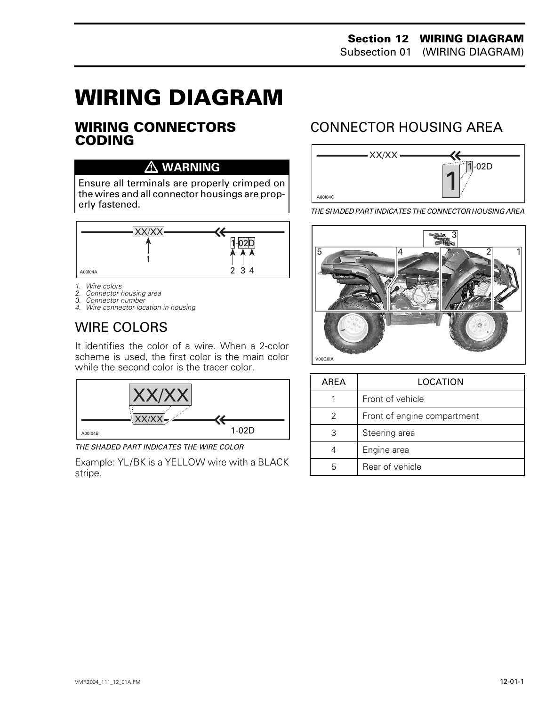# **WIRING DIAGRAM 0**

#### **WIRING CONNECTORS CODING**

#### **WARNING**

Ensure all terminals are properly crimped on the wires and all connector housings are properly fastened.



*1. Wire colors*

- *2. Connector housing area*
- *3. Connector number*
- *4. Wire connector location in housing*

## WIRE COLORS

It identifies the color of a wire. When a 2-color scheme is used, the first color is the main color while the second color is the tracer color.



*THE SHADED PART INDICATES THE WIRE COLOR*

Example: YL/BK is a YELLOW wire with a BLACK stripe.

## CONNECTOR HOUSING AREA



*THE SHADED PART INDICATES THE CONNECTOR HOUSING AREA*



| AREA | LOCATION                    |  |
|------|-----------------------------|--|
|      | Front of vehicle            |  |
| 2    | Front of engine compartment |  |
| З    | Steering area               |  |
|      | Engine area                 |  |
| h    | Rear of vehicle             |  |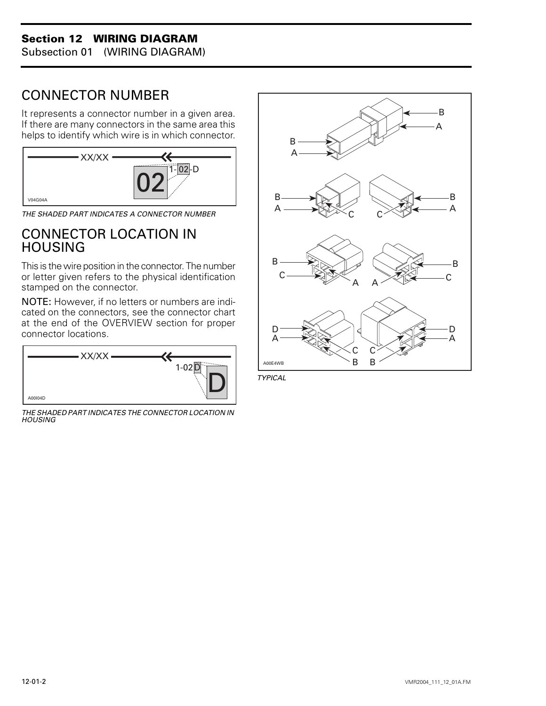#### **Section 12 WIRING DIAGRAM**

Subsection 01 (WIRING DIAGRAM)

## CONNECTOR NUMBER

It represents a connector number in a given area. If there are many connectors in the same area this helps to identify which wire is in which connector.



*THE SHADED PART INDICATES A CONNECTOR NUMBER*

### CONNECTOR LOCATION IN **HOUSING**

This is the wire position in the connector. The number or letter given refers to the physical identification stamped on the connector.

NOTE: However, if no letters or numbers are indicated on the connectors, see the connector chart at the end of the OVERVIEW section for proper connector locations.



*THE SHADED PART INDICATES THE CONNECTOR LOCATION IN HOUSING*



*TYPICAL*